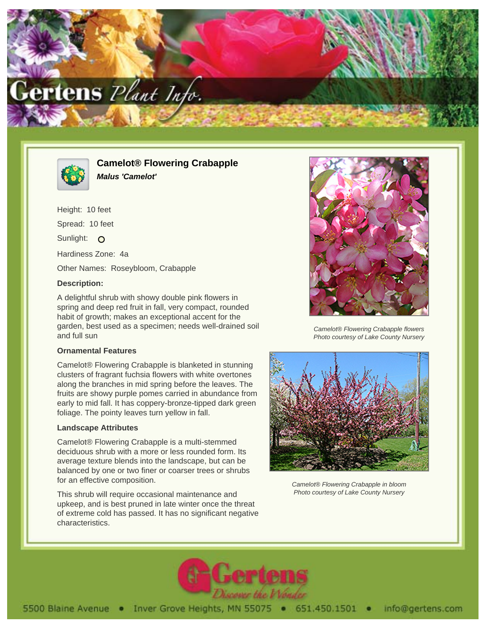



**Camelot® Flowering Crabapple Malus 'Camelot'**

Height: 10 feet Spread: 10 feet Sunlight: O Hardiness Zone: 4a Other Names: Roseybloom, Crabapple

## **Description:**

A delightful shrub with showy double pink flowers in spring and deep red fruit in fall, very compact, rounded habit of growth; makes an exceptional accent for the garden, best used as a specimen; needs well-drained soil and full sun

## **Ornamental Features**

Camelot® Flowering Crabapple is blanketed in stunning clusters of fragrant fuchsia flowers with white overtones along the branches in mid spring before the leaves. The fruits are showy purple pomes carried in abundance from early to mid fall. It has coppery-bronze-tipped dark green foliage. The pointy leaves turn yellow in fall.

## **Landscape Attributes**

Camelot® Flowering Crabapple is a multi-stemmed deciduous shrub with a more or less rounded form. Its average texture blends into the landscape, but can be balanced by one or two finer or coarser trees or shrubs for an effective composition.

This shrub will require occasional maintenance and upkeep, and is best pruned in late winter once the threat of extreme cold has passed. It has no significant negative characteristics.



Camelot® Flowering Crabapple flowers Photo courtesy of Lake County Nursery



Camelot® Flowering Crabapple in bloom Photo courtesy of Lake County Nursery